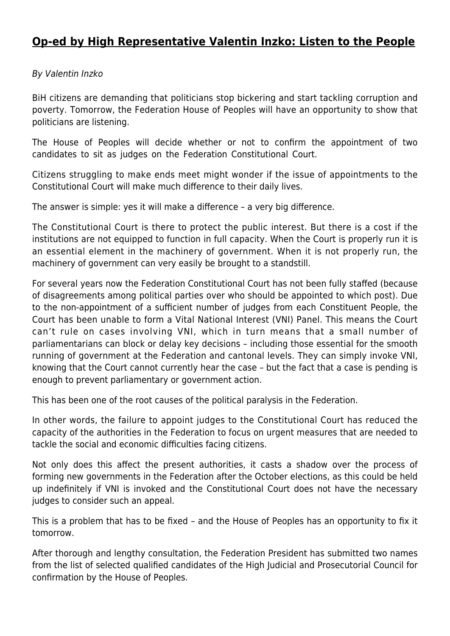## **[Op-ed by High Representative Valentin Inzko: Listen to the People](http://www.ohr.int/op-ed-by-high-representative-valentin-inzko-listen-to-the-people/)**

## By Valentin Inzko

BiH citizens are demanding that politicians stop bickering and start tackling corruption and poverty. Tomorrow, the Federation House of Peoples will have an opportunity to show that politicians are listening.

The House of Peoples will decide whether or not to confirm the appointment of two candidates to sit as judges on the Federation Constitutional Court.

Citizens struggling to make ends meet might wonder if the issue of appointments to the Constitutional Court will make much difference to their daily lives.

The answer is simple: yes it will make a difference – a very big difference.

The Constitutional Court is there to protect the public interest. But there is a cost if the institutions are not equipped to function in full capacity. When the Court is properly run it is an essential element in the machinery of government. When it is not properly run, the machinery of government can very easily be brought to a standstill.

For several years now the Federation Constitutional Court has not been fully staffed (because of disagreements among political parties over who should be appointed to which post). Due to the non-appointment of a sufficient number of judges from each Constituent People, the Court has been unable to form a Vital National Interest (VNI) Panel. This means the Court can't rule on cases involving VNI, which in turn means that a small number of parliamentarians can block or delay key decisions – including those essential for the smooth running of government at the Federation and cantonal levels. They can simply invoke VNI, knowing that the Court cannot currently hear the case – but the fact that a case is pending is enough to prevent parliamentary or government action.

This has been one of the root causes of the political paralysis in the Federation.

In other words, the failure to appoint judges to the Constitutional Court has reduced the capacity of the authorities in the Federation to focus on urgent measures that are needed to tackle the social and economic difficulties facing citizens.

Not only does this affect the present authorities, it casts a shadow over the process of forming new governments in the Federation after the October elections, as this could be held up indefinitely if VNI is invoked and the Constitutional Court does not have the necessary judges to consider such an appeal.

This is a problem that has to be fixed – and the House of Peoples has an opportunity to fix it tomorrow.

After thorough and lengthy consultation, the Federation President has submitted two names from the list of selected qualified candidates of the High Judicial and Prosecutorial Council for confirmation by the House of Peoples.